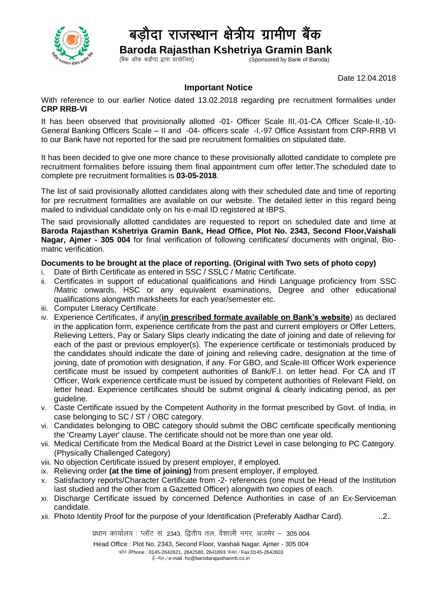

## बडौदा राजस्थान क्षेत्रीय ग्रामीण बैंक

 **Baroda Rajasthan Kshetriya Gramin Bank**

 $\zeta$ Sponsored by Bank of Baroda)

Date 12.04.2018

## **Important Notice**

With reference to our earlier Notice dated 13.02.2018 regarding pre recruitment formalities under **CRP RRB-VI**

It has been observed that provisionally allotted -01- Officer Scale III,-01-CA Officer Scale-II,-10- General Banking Officers Scale – II and -04- officers scale -I,-97 Office Assistant from CRP-RRB VI to our Bank have not reported for the said pre recruitment formalities on stipulated date.

It has been decided to give one more chance to these provisionally allotted candidate to complete pre recruitment formalities before issuing them final appointment cum offer letter.The scheduled date to complete pre recruitment formalities is **03-05-2018**.

The list of said provisionally allotted candidates along with their scheduled date and time of reporting for pre recruitment formalities are available on our website. The detailed letter in this regard being mailed to individual candidate only on his e-mail ID registered at IBPS.

The said provisionally allotted candidates are requested to report on scheduled date and time at **Baroda Rajasthan Kshetriya Gramin Bank, Head Office, Plot No. 2343, Second Floor,Vaishali Nagar, Ajmer - 305 004** for final verification of following certificates/ documents with original, Biomatric verification.

## **Documents to be brought at the place of reporting. (Original with Two sets of photo copy)**

- i. Date of Birth Certificate as entered in SSC / SSLC / Matric Certificate.
- ii. Certificates in support of educational qualifications and Hindi Language proficiency from SSC /Matric onwards, HSC or any equivalent examinations, Degree and other educational qualifications alongwith marksheets for each year/semester etc.
- iii. Computer Literacy Certificate.
- iv. Experience Certificates, if any(**in prescribed formate available on Bank's website**) as declared in the application form, experience certificate from the past and current employers or Offer Letters, Relieving Letters, Pay or Salary Slips clearly indicating the date of joining and date of relieving for each of the past or previous employer(s). The experience certificate or testimonials produced by the candidates should indicate the date of joining and relieving cadre, designation at the time of joining, date of promotion with designation, if any. For GBO, and Scale-III Officer Work experience certificate must be issued by competent authorities of Bank/F.I. on letter head. For CA and IT Officer, Work experience certificate must be issued by competent authorities of Relevant Field, on letter head. Experience certificates should be submit original & clearly indicating period, as per guideline.
- v. Caste Certificate issued by the Competent Authority in the format prescribed by Govt. of India, in case belonging to SC / ST / OBC category.
- vi. Candidates belonging to OBC category should submit the OBC certificate specifically mentioning the 'Creamy Layer' clause. The certificate should not be more than one year old.
- vii. Medical Certificate from the Medical Board at the District Level in case belonging to PC Category. (Physically Challenged Category)
- viii. No objection Certificate issued by present employer, if employed.
- ix. Relieving order **(at the time of joining)** from present employer, if employed.
- x. Satisfactory reports/Character Certificate from -2- references (one must be Head of the Institution last studied and the other from a Gazetted Officer) alongwith two copies of each.
- xi. Discharge Certificate issued by concerned Defence Authorities in case of an Ex-Serviceman candidate.
- xii. Photo Identity Proof for the purpose of your Identification (Preferably Aadhar Card). ..2..

प्रधान कार्यालय : प्लॉट सं. 2343, द्वितीय तल, वैशाली नगर, अजमेर – 305 004

Head Office : Plot No. 2343, Second Floor, Vaishali Nagar, Ajmer - 305 004 फोन /Phone : 0145-2642621, 2642580, 2641893 फेक्स / Fax:0145-2642603